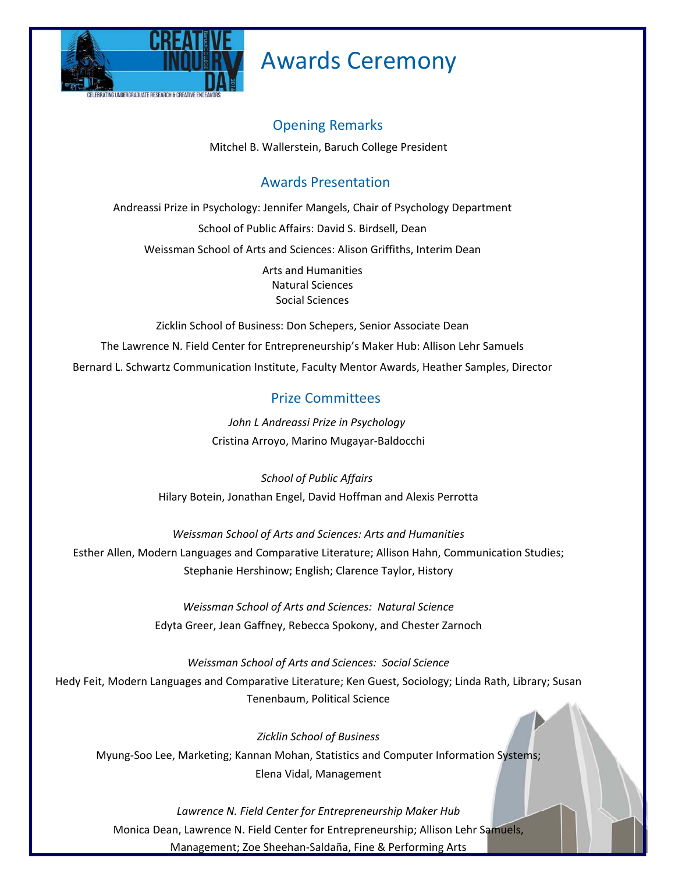

# Awards Ceremony

## Opening Remarks

Mitchel B. Wallerstein, Baruch College President

## Awards Presentation

Andreassi Prize in Psychology: Jennifer Mangels, Chair of Psychology Department

School of Public Affairs: David S. Birdsell, Dean

Weissman School of Arts and Sciences: Alison Griffiths, Interim Dean

Arts and Humanities Natural Sciences Social Sciences

Zicklin School of Business: Don Schepers, Senior Associate Dean

The Lawrence N. Field Center for Entrepreneurship's Maker Hub: Allison Lehr Samuels Bernard L. Schwartz Communication Institute, Faculty Mentor Awards, Heather Samples, Director

## Prize Committees

*John L Andreassi Prize in Psychology*  Cristina Arroyo, Marino Mugayar-Baldocchi

*School of Public Affairs*  Hilary Botein, Jonathan Engel, David Hoffman and Alexis Perrotta

#### *Weissman School of Arts and Sciences: Arts and Humanities*

Esther Allen, Modern Languages and Comparative Literature; Allison Hahn, Communication Studies; Stephanie Hershinow; English; Clarence Taylor, History

> *Weissman School of Arts and Sciences: Natural Science*  Edyta Greer, Jean Gaffney, Rebecca Spokony, and Chester Zarnoch

*Weissman School of Arts and Sciences: Social Science*  Hedy Feit, Modern Languages and Comparative Literature; Ken Guest, Sociology; Linda Rath, Library; Susan Tenenbaum, Political Science

*Zicklin School of Business*  Myung-Soo Lee, Marketing; Kannan Mohan, Statistics and Computer Information Systems; Elena Vidal, Management

*Lawrence N. Field Center for Entrepreneurship Maker Hub*  Monica Dean, Lawrence N. Field Center for Entrepreneurship; Allison Lehr Samuels, Management; Zoe Sheehan-Saldaña, Fine & Performing Arts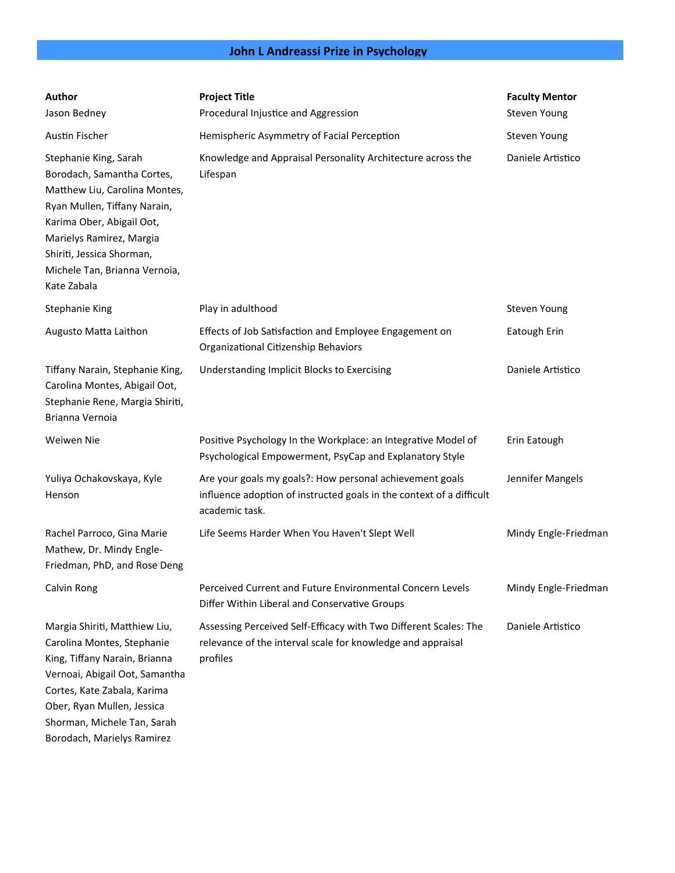## John L Andreassi Prize in Psychology

| Author<br>Jason Bedney                                                                                                                                                                                                                                     | <b>Project Title</b><br>Procedural Injustice and Aggression                                                                                        | <b>Faculty Mentor</b><br>Steven Young |
|------------------------------------------------------------------------------------------------------------------------------------------------------------------------------------------------------------------------------------------------------------|----------------------------------------------------------------------------------------------------------------------------------------------------|---------------------------------------|
| Austin Fischer                                                                                                                                                                                                                                             | Hemispheric Asymmetry of Facial Perception                                                                                                         | Steven Young                          |
| Stephanie King, Sarah<br>Borodach, Samantha Cortes,<br>Matthew Liu, Carolina Montes,<br>Ryan Mullen, Tiffany Narain,<br>Karima Ober, Abigail Oot,<br>Marielys Ramirez, Margia<br>Shiriti, Jessica Shorman,<br>Michele Tan, Brianna Vernoia,<br>Kate Zabala | Knowledge and Appraisal Personality Architecture across the<br>Lifespan                                                                            | Daniele Artistico                     |
| <b>Stephanie King</b>                                                                                                                                                                                                                                      | Play in adulthood                                                                                                                                  | Steven Young                          |
| Augusto Matta Laithon                                                                                                                                                                                                                                      | Effects of Job Satisfaction and Employee Engagement on<br>Organizational Citizenship Behaviors                                                     | Eatough Erin                          |
| Tiffany Narain, Stephanie King,<br>Carolina Montes, Abigail Oot,<br>Stephanie Rene, Margia Shiriti,<br>Brianna Vernoia                                                                                                                                     | Understanding Implicit Blocks to Exercising                                                                                                        | Daniele Artistico                     |
| Weiwen Nie                                                                                                                                                                                                                                                 | Positive Psychology In the Workplace: an Integrative Model of<br>Psychological Empowerment, PsyCap and Explanatory Style                           | Erin Eatough                          |
| Yuliya Ochakovskaya, Kyle<br>Henson                                                                                                                                                                                                                        | Are your goals my goals?: How personal achievement goals<br>influence adoption of instructed goals in the context of a difficult<br>academic task. | Jennifer Mangels                      |
| Rachel Parroco, Gina Marie<br>Mathew, Dr. Mindy Engle-<br>Friedman, PhD, and Rose Deng                                                                                                                                                                     | Life Seems Harder When You Haven't Slept Well                                                                                                      | Mindy Engle-Friedman                  |
| Calvin Rong                                                                                                                                                                                                                                                | Perceived Current and Future Environmental Concern Levels<br>Differ Within Liberal and Conservative Groups                                         | Mindy Engle-Friedman                  |
| Margia Shiriti, Matthiew Liu,<br>Carolina Montes, Stephanie<br>King, Tiffany Narain, Brianna<br>Vernoai, Abigail Oot, Samantha<br>Cortes, Kate Zabala, Karima<br>Ober, Ryan Mullen, Jessica<br>Shorman, Michele Tan, Sarah<br>Borodach, Marielys Ramirez   | Assessing Perceived Self-Efficacy with Two Different Scales: The<br>relevance of the interval scale for knowledge and appraisal<br>profiles        | Daniele Artistico                     |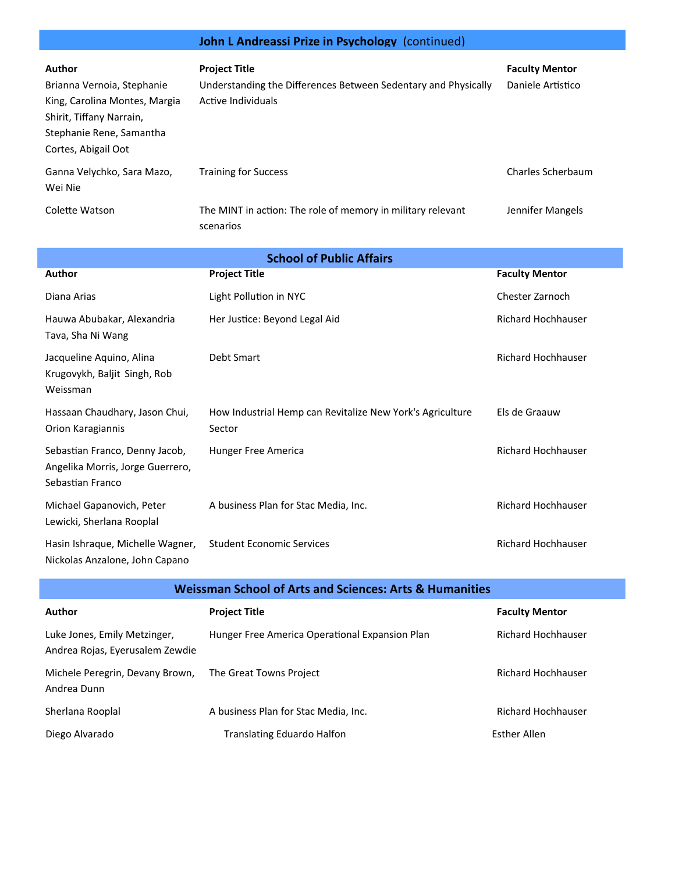## John L Andreassi Prize in Psychology (continued)

| Author                                                                                                                                     | <b>Project Title</b>                                                                 | <b>Faculty Mentor</b> |
|--------------------------------------------------------------------------------------------------------------------------------------------|--------------------------------------------------------------------------------------|-----------------------|
| Brianna Vernoia, Stephanie<br>King, Carolina Montes, Margia<br>Shirit, Tiffany Narrain,<br>Stephanie Rene, Samantha<br>Cortes, Abigail Oot | Understanding the Differences Between Sedentary and Physically<br>Active Individuals | Daniele Artistico     |
| Ganna Velychko, Sara Mazo,<br>Wei Nie                                                                                                      | <b>Training for Success</b>                                                          | Charles Scherbaum     |
| Colette Watson                                                                                                                             | The MINT in action: The role of memory in military relevant<br>scenarios             | Jennifer Mangels      |

| <b>School of Public Affairs</b>                                                        |                                                                     |                           |  |
|----------------------------------------------------------------------------------------|---------------------------------------------------------------------|---------------------------|--|
| Author                                                                                 | <b>Project Title</b>                                                | <b>Faculty Mentor</b>     |  |
| Diana Arias                                                                            | Light Pollution in NYC                                              | Chester Zarnoch           |  |
| Hauwa Abubakar, Alexandria<br>Tava, Sha Ni Wang                                        | Her Justice: Beyond Legal Aid                                       | <b>Richard Hochhauser</b> |  |
| Jacqueline Aquino, Alina<br>Krugovykh, Baljit Singh, Rob<br>Weissman                   | Debt Smart                                                          | <b>Richard Hochhauser</b> |  |
| Hassaan Chaudhary, Jason Chui,<br>Orion Karagiannis                                    | How Industrial Hemp can Revitalize New York's Agriculture<br>Sector | Els de Graauw             |  |
| Sebastian Franco, Denny Jacob,<br>Angelika Morris, Jorge Guerrero,<br>Sebastian Franco | Hunger Free America                                                 | <b>Richard Hochhauser</b> |  |
| Michael Gapanovich, Peter<br>Lewicki, Sherlana Rooplal                                 | A business Plan for Stac Media, Inc.                                | <b>Richard Hochhauser</b> |  |
| Hasin Ishraque, Michelle Wagner,<br>Nickolas Anzalone, John Capano                     | <b>Student Economic Services</b>                                    | <b>Richard Hochhauser</b> |  |

| <b>Weissman School of Arts and Sciences: Arts &amp; Humanities</b> |                                                |                           |  |
|--------------------------------------------------------------------|------------------------------------------------|---------------------------|--|
| Author                                                             | <b>Project Title</b>                           | <b>Faculty Mentor</b>     |  |
| Luke Jones, Emily Metzinger,<br>Andrea Rojas, Eyerusalem Zewdie    | Hunger Free America Operational Expansion Plan | <b>Richard Hochhauser</b> |  |
| Michele Peregrin, Devany Brown,<br>Andrea Dunn                     | The Great Towns Project                        | Richard Hochhauser        |  |
| Sherlana Rooplal                                                   | A business Plan for Stac Media, Inc.           | <b>Richard Hochhauser</b> |  |
| Diego Alvarado                                                     | <b>Translating Eduardo Halfon</b>              | <b>Esther Allen</b>       |  |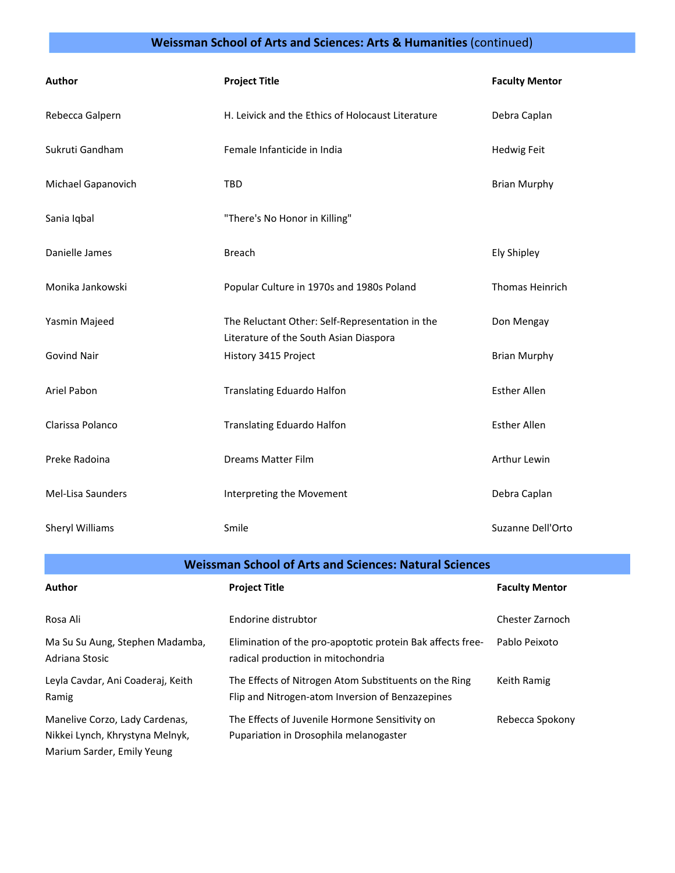#### **Weissman School of Arts and Sciences: Arts & Humanities** (continued)

| Author                 | <b>Project Title</b>                                                                      | <b>Faculty Mentor</b>  |
|------------------------|-------------------------------------------------------------------------------------------|------------------------|
| Rebecca Galpern        | H. Leivick and the Ethics of Holocaust Literature                                         | Debra Caplan           |
| Sukruti Gandham        | Female Infanticide in India                                                               | <b>Hedwig Feit</b>     |
| Michael Gapanovich     | <b>TBD</b>                                                                                | <b>Brian Murphy</b>    |
| Sania Iqbal            | "There's No Honor in Killing"                                                             |                        |
| Danielle James         | <b>Breach</b>                                                                             | <b>Ely Shipley</b>     |
| Monika Jankowski       | Popular Culture in 1970s and 1980s Poland                                                 | <b>Thomas Heinrich</b> |
| Yasmin Majeed          | The Reluctant Other: Self-Representation in the<br>Literature of the South Asian Diaspora | Don Mengay             |
| <b>Govind Nair</b>     | History 3415 Project                                                                      | <b>Brian Murphy</b>    |
| Ariel Pabon            | <b>Translating Eduardo Halfon</b>                                                         | <b>Esther Allen</b>    |
| Clarissa Polanco       | <b>Translating Eduardo Halfon</b>                                                         | <b>Esther Allen</b>    |
| Preke Radoina          | Dreams Matter Film                                                                        | Arthur Lewin           |
| Mel-Lisa Saunders      | Interpreting the Movement                                                                 | Debra Caplan           |
| <b>Sheryl Williams</b> | Smile                                                                                     | Suzanne Dell'Orto      |

**Weissman School of Arts and Sciences: Natural Sciences**

| <b>Author</b>                                                                                   | <b>Project Title</b>                                                                                      | <b>Faculty Mentor</b> |
|-------------------------------------------------------------------------------------------------|-----------------------------------------------------------------------------------------------------------|-----------------------|
| Rosa Ali                                                                                        | Endorine distrubtor                                                                                       | Chester Zarnoch       |
| Ma Su Su Aung, Stephen Madamba,<br>Adriana Stosic                                               | Elimination of the pro-apoptotic protein Bak affects free-<br>radical production in mitochondria          | Pablo Peixoto         |
| Leyla Cavdar, Ani Coaderaj, Keith<br>Ramig                                                      | The Effects of Nitrogen Atom Substituents on the Ring<br>Flip and Nitrogen-atom Inversion of Benzazepines | Keith Ramig           |
| Manelive Corzo, Lady Cardenas,<br>Nikkei Lynch, Khrystyna Melnyk,<br>Marium Sarder, Emily Yeung | The Effects of Juvenile Hormone Sensitivity on<br>Pupariation in Drosophila melanogaster                  | Rebecca Spokony       |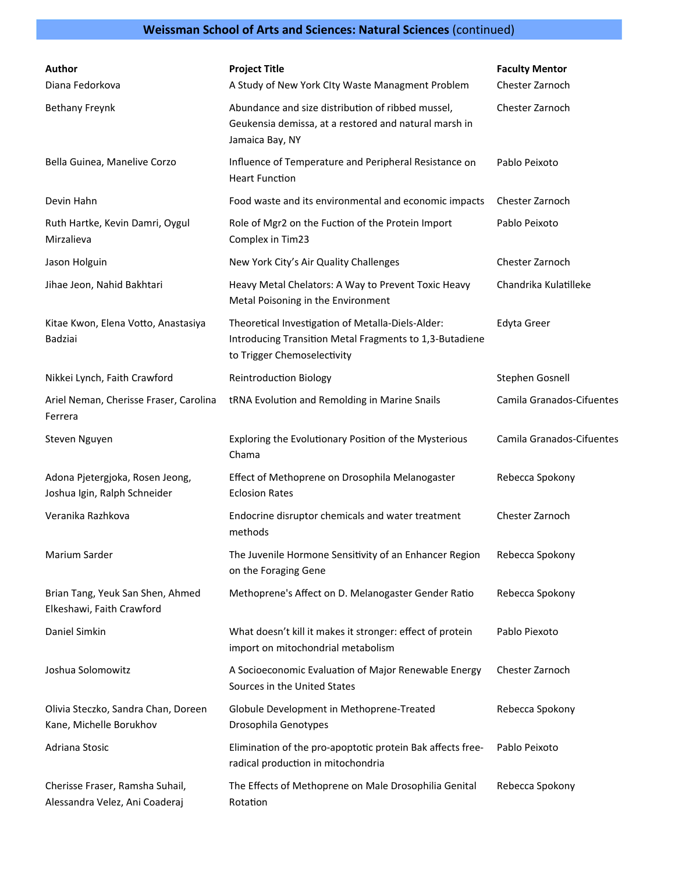## **Weissman School of Arts and Sciences: Natural Sciences** (continued)

| <b>Author</b><br>Diana Fedorkova                                  | <b>Project Title</b><br>A Study of New York Clty Waste Managment Problem                                                                    | <b>Faculty Mentor</b><br>Chester Zarnoch |
|-------------------------------------------------------------------|---------------------------------------------------------------------------------------------------------------------------------------------|------------------------------------------|
| <b>Bethany Freynk</b>                                             | Abundance and size distribution of ribbed mussel,<br>Geukensia demissa, at a restored and natural marsh in<br>Jamaica Bay, NY               | Chester Zarnoch                          |
| Bella Guinea, Manelive Corzo                                      | Influence of Temperature and Peripheral Resistance on<br><b>Heart Function</b>                                                              | Pablo Peixoto                            |
| Devin Hahn                                                        | Food waste and its environmental and economic impacts                                                                                       | Chester Zarnoch                          |
| Ruth Hartke, Kevin Damri, Oygul<br>Mirzalieva                     | Role of Mgr2 on the Fuction of the Protein Import<br>Complex in Tim23                                                                       | Pablo Peixoto                            |
| Jason Holguin                                                     | New York City's Air Quality Challenges                                                                                                      | Chester Zarnoch                          |
| Jihae Jeon, Nahid Bakhtari                                        | Heavy Metal Chelators: A Way to Prevent Toxic Heavy<br>Metal Poisoning in the Environment                                                   | Chandrika Kulatilleke                    |
| Kitae Kwon, Elena Votto, Anastasiya<br><b>Badziai</b>             | Theoretical Investigation of Metalla-Diels-Alder:<br>Introducing Transition Metal Fragments to 1,3-Butadiene<br>to Trigger Chemoselectivity | <b>Edyta Greer</b>                       |
| Nikkei Lynch, Faith Crawford                                      | <b>Reintroduction Biology</b>                                                                                                               | Stephen Gosnell                          |
| Ariel Neman, Cherisse Fraser, Carolina<br>Ferrera                 | tRNA Evolution and Remolding in Marine Snails                                                                                               | Camila Granados-Cifuentes                |
| Steven Nguyen                                                     | Exploring the Evolutionary Position of the Mysterious<br>Chama                                                                              | Camila Granados-Cifuentes                |
| Adona Pjetergjoka, Rosen Jeong,<br>Joshua Igin, Ralph Schneider   | Effect of Methoprene on Drosophila Melanogaster<br><b>Eclosion Rates</b>                                                                    | Rebecca Spokony                          |
| Veranika Razhkova                                                 | Endocrine disruptor chemicals and water treatment<br>methods                                                                                | Chester Zarnoch                          |
| Marium Sarder                                                     | The Juvenile Hormone Sensitivity of an Enhancer Region<br>on the Foraging Gene                                                              | Rebecca Spokony                          |
| Brian Tang, Yeuk San Shen, Ahmed<br>Elkeshawi, Faith Crawford     | Methoprene's Affect on D. Melanogaster Gender Ratio                                                                                         | Rebecca Spokony                          |
| Daniel Simkin                                                     | What doesn't kill it makes it stronger: effect of protein<br>import on mitochondrial metabolism                                             | Pablo Piexoto                            |
| Joshua Solomowitz                                                 | A Socioeconomic Evaluation of Major Renewable Energy<br>Sources in the United States                                                        | Chester Zarnoch                          |
| Olivia Steczko, Sandra Chan, Doreen<br>Kane, Michelle Borukhov    | Globule Development in Methoprene-Treated<br>Drosophila Genotypes                                                                           | Rebecca Spokony                          |
| Adriana Stosic                                                    | Elimination of the pro-apoptotic protein Bak affects free-<br>radical production in mitochondria                                            | Pablo Peixoto                            |
| Cherisse Fraser, Ramsha Suhail,<br>Alessandra Velez, Ani Coaderaj | The Effects of Methoprene on Male Drosophilia Genital<br>Rotation                                                                           | Rebecca Spokony                          |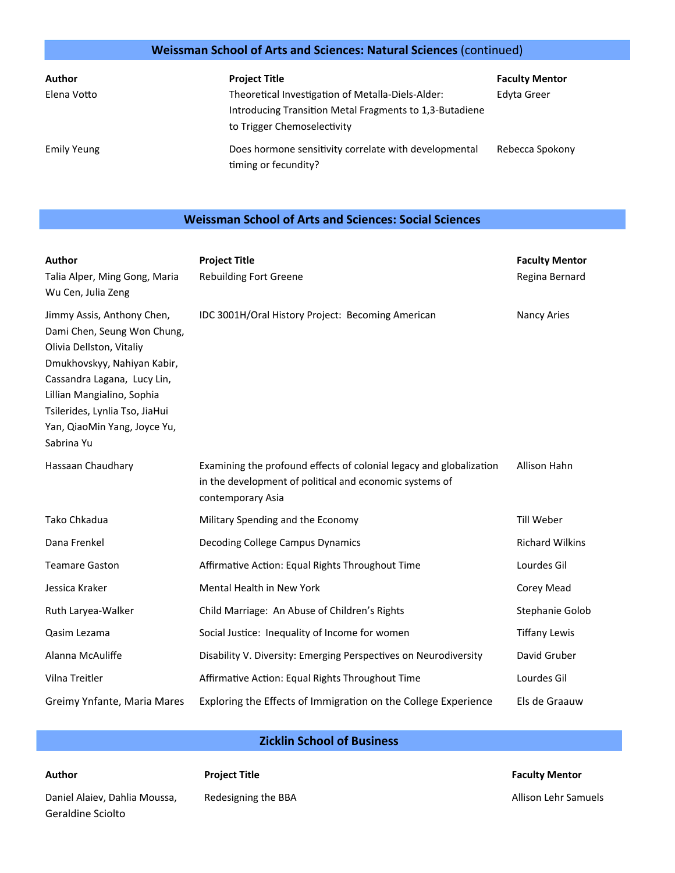#### Weissman School of Arts and Sciences: Natural Sciences (continued)

| Author      | <b>Project Title</b>                                                                   | <b>Faculty Mentor</b> |
|-------------|----------------------------------------------------------------------------------------|-----------------------|
| Elena Votto | Theoretical Investigation of Metalla-Diels-Alder:                                      | Edyta Greer           |
|             | Introducing Transition Metal Fragments to 1,3-Butadiene<br>to Trigger Chemoselectivity |                       |
| Emily Yeung | Does hormone sensitivity correlate with developmental<br>timing or fecundity?          | Rebecca Spokony       |

#### **Weissman School of Arts and Sciences: Social Sciences**

| Author<br>Talia Alper, Ming Gong, Maria<br>Wu Cen, Julia Zeng                                                                                                                                                                                                     | <b>Project Title</b><br><b>Rebuilding Fort Greene</b>                                                                                               | <b>Faculty Mentor</b><br>Regina Bernard |
|-------------------------------------------------------------------------------------------------------------------------------------------------------------------------------------------------------------------------------------------------------------------|-----------------------------------------------------------------------------------------------------------------------------------------------------|-----------------------------------------|
| Jimmy Assis, Anthony Chen,<br>Dami Chen, Seung Won Chung,<br>Olivia Dellston, Vitaliy<br>Dmukhovskyy, Nahiyan Kabir,<br>Cassandra Lagana, Lucy Lin,<br>Lillian Mangialino, Sophia<br>Tsilerides, Lynlia Tso, JiaHui<br>Yan, QiaoMin Yang, Joyce Yu,<br>Sabrina Yu | IDC 3001H/Oral History Project: Becoming American                                                                                                   | <b>Nancy Aries</b>                      |
| Hassaan Chaudhary                                                                                                                                                                                                                                                 | Examining the profound effects of colonial legacy and globalization<br>in the development of political and economic systems of<br>contemporary Asia | Allison Hahn                            |
| Tako Chkadua                                                                                                                                                                                                                                                      | Military Spending and the Economy                                                                                                                   | Till Weber                              |
| Dana Frenkel                                                                                                                                                                                                                                                      | <b>Decoding College Campus Dynamics</b>                                                                                                             | <b>Richard Wilkins</b>                  |
| <b>Teamare Gaston</b>                                                                                                                                                                                                                                             | Affirmative Action: Equal Rights Throughout Time                                                                                                    | Lourdes Gil                             |
| Jessica Kraker                                                                                                                                                                                                                                                    | <b>Mental Health in New York</b>                                                                                                                    | Corey Mead                              |
| Ruth Laryea-Walker                                                                                                                                                                                                                                                | Child Marriage: An Abuse of Children's Rights                                                                                                       | Stephanie Golob                         |
| Qasim Lezama                                                                                                                                                                                                                                                      | Social Justice: Inequality of Income for women                                                                                                      | <b>Tiffany Lewis</b>                    |
| Alanna McAuliffe                                                                                                                                                                                                                                                  | Disability V. Diversity: Emerging Perspectives on Neurodiversity                                                                                    | David Gruber                            |
| Vilna Treitler                                                                                                                                                                                                                                                    | Affirmative Action: Equal Rights Throughout Time                                                                                                    | Lourdes Gil                             |
| Greimy Ynfante, Maria Mares                                                                                                                                                                                                                                       | Exploring the Effects of Immigration on the College Experience                                                                                      | Els de Graauw                           |

#### **Zicklin School of Business**

| <b>Faculty Mentor</b> |
|-----------------------|
| Allison Lehr Samuels  |

Daniel Alaiev, Dahlia Moussa, Geraldine Sciolto

**Author** 

Redesigning the BBA

**Project Title**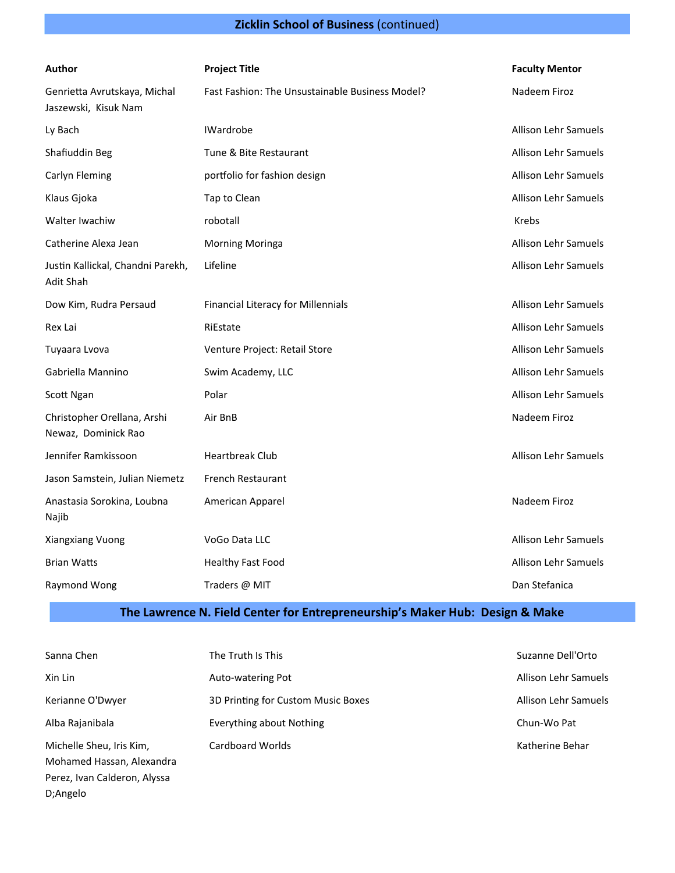## **Zicklin School of Business** (continued)

| Author                                               | <b>Project Title</b>                            | <b>Faculty Mentor</b>       |
|------------------------------------------------------|-------------------------------------------------|-----------------------------|
| Genrietta Avrutskaya, Michal<br>Jaszewski, Kisuk Nam | Fast Fashion: The Unsustainable Business Model? | Nadeem Firoz                |
| Ly Bach                                              | <b>IWardrobe</b>                                | <b>Allison Lehr Samuels</b> |
| Shafiuddin Beg                                       | Tune & Bite Restaurant                          | Allison Lehr Samuels        |
| Carlyn Fleming                                       | portfolio for fashion design                    | <b>Allison Lehr Samuels</b> |
| Klaus Gjoka                                          | Tap to Clean                                    | <b>Allison Lehr Samuels</b> |
| Walter Iwachiw                                       | robotall                                        | <b>Krebs</b>                |
| Catherine Alexa Jean                                 | <b>Morning Moringa</b>                          | <b>Allison Lehr Samuels</b> |
| Justin Kallickal, Chandni Parekh,<br>Adit Shah       | Lifeline                                        | <b>Allison Lehr Samuels</b> |
| Dow Kim, Rudra Persaud                               | Financial Literacy for Millennials              | <b>Allison Lehr Samuels</b> |
| Rex Lai                                              | RiEstate                                        | <b>Allison Lehr Samuels</b> |
| Tuyaara Lvova                                        | Venture Project: Retail Store                   | <b>Allison Lehr Samuels</b> |
| Gabriella Mannino                                    | Swim Academy, LLC                               | <b>Allison Lehr Samuels</b> |
| Scott Ngan                                           | Polar                                           | <b>Allison Lehr Samuels</b> |
| Christopher Orellana, Arshi<br>Newaz, Dominick Rao   | Air BnB                                         | Nadeem Firoz                |
| Jennifer Ramkissoon                                  | <b>Heartbreak Club</b>                          | <b>Allison Lehr Samuels</b> |
| Jason Samstein, Julian Niemetz                       | <b>French Restaurant</b>                        |                             |
| Anastasia Sorokina, Loubna<br>Najib                  | American Apparel                                | Nadeem Firoz                |
| Xiangxiang Vuong                                     | VoGo Data LLC                                   | <b>Allison Lehr Samuels</b> |
| <b>Brian Watts</b>                                   | <b>Healthy Fast Food</b>                        | <b>Allison Lehr Samuels</b> |
| Raymond Wong                                         | Traders @ MIT                                   | Dan Stefanica               |

## **The Lawrence N. Field Center for Entrepreneurship's Maker Hub: Design & Make**

| Sanna Chen                   | The Truth Is This                  | Suzanne Dell'Orto    |
|------------------------------|------------------------------------|----------------------|
| Xin Lin                      | Auto-watering Pot                  | Allison Lehr Samuels |
| Kerianne O'Dwyer             | 3D Printing for Custom Music Boxes | Allison Lehr Samuels |
| Alba Rajanibala              | Everything about Nothing           | Chun-Wo Pat          |
| Michelle Sheu, Iris Kim,     | Cardboard Worlds                   | Katherine Behar      |
| Mohamed Hassan, Alexandra    |                                    |                      |
| Perez, Ivan Calderon, Alyssa |                                    |                      |

D;Angelo